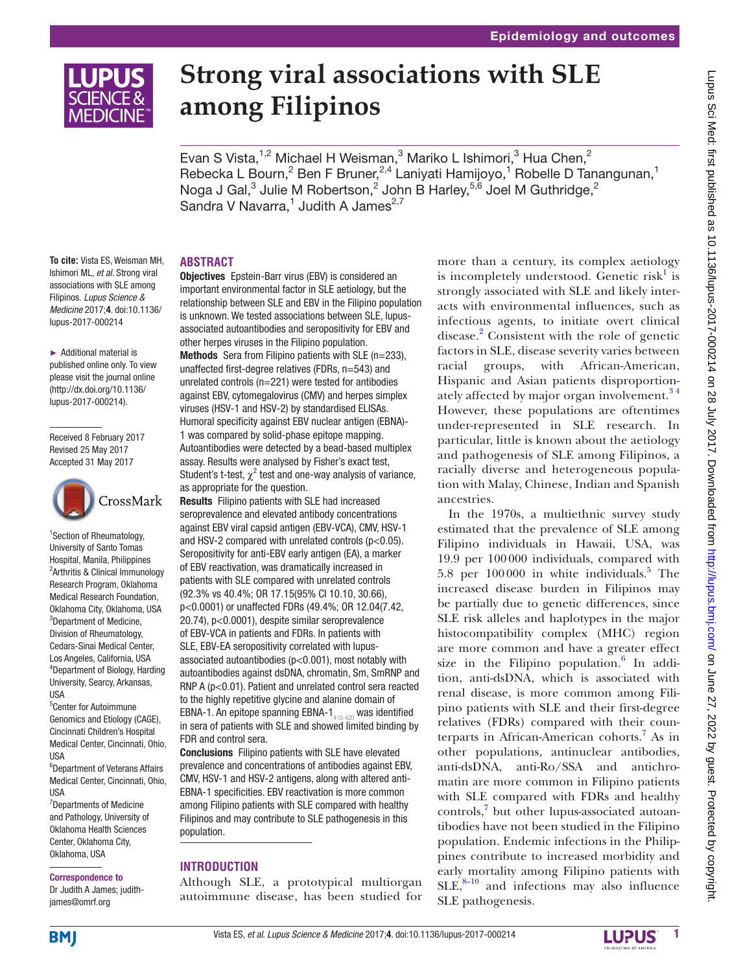

# **Strong viral associations with SLE among Filipinos**

Evan S Vista, <sup>1,2</sup> Michael H Weisman, <sup>3</sup> Mariko L Ishimori, <sup>3</sup> Hua Chen, <sup>2</sup> Rebecka L Bourn,<sup>2</sup> Ben F Bruner,<sup>2,4</sup> Laniyati Hamijoyo,<sup>1</sup> Robelle D Tanangunan,<sup>1</sup> Noga J Gal, $^3$  Julie M Robertson, $^2$  John B Harley, $^{5,6}$  Joel M Guthridge, $^2$ Sandra V Navarra,<sup>1</sup> Judith A James<sup>2,7</sup>

**To cite:** Vista ES, Weisman MH, Ishimori ML, *et al*. Strong viral associations with SLE among Filipinos. *Lupus Science & Medicine* 2017;4. doi:10.1136/ lupus-2017-000214

► Additional material is published online only. To view please visit the journal online (http://dx.doi.org/10.1136/ lupus-2017-000214).

Received 8 February 2017 Revised 25 May 2017 Accepted 31 May 2017



1 Section of Rheumatology, University of Santo Tomas Hospital, Manila, Philippines <sup>2</sup> Arthritis & Clinical Immunology Research Program, Oklahoma Medical Research Foundation, Oklahoma City, Oklahoma, USA <sup>3</sup>Department of Medicine, Division of Rheumatology, Cedars-Sinai Medical Center, Los Angeles, California, USA 4 Department of Biology, Harding University, Searcy, Arkansas, USA

5 Center for Autoimmune Genomics and Etiology (CAGE), Cincinnati Children's Hospital Medical Center, Cincinnati, Ohio, USA

6 Department of Veterans Affairs Medical Center, Cincinnati, Ohio, USA

7 Departments of Medicine and Pathology, University of Oklahoma Health Sciences Center, Oklahoma City, Oklahoma, USA

## Correspondence to

Dr Judith A James; judithjames@omrf.org

## **Abstract**

Objectives Epstein-Barr virus (EBV) is considered an important environmental factor in SLE aetiology, but the relationship between SLE and EBV in the Filipino population is unknown. We tested associations between SLE, lupusassociated autoantibodies and seropositivity for EBV and other herpes viruses in the Filipino population. Methods Sera from Filipino patients with SLE (n=233), unaffected first-degree relatives (FDRs, n=543) and unrelated controls (n=221) were tested for antibodies against EBV, cytomegalovirus (CMV) and herpes simplex viruses (HSV-1 and HSV-2) by standardised ELISAs. Humoral specificity against EBV nuclear antigen (EBNA)- 1 was compared by solid-phase epitope mapping. Autoantibodies were detected by a bead-based multiplex assay. Results were analysed by Fisher's exact test, Student's t-test,  $\chi^2$  test and one-way analysis of variance, as appropriate for the question.

Results Filipino patients with SLE had increased seroprevalence and elevated antibody concentrations against EBV viral capsid antigen (EBV-VCA), CMV, HSV-1 and HSV-2 compared with unrelated controls ( $p < 0.05$ ). Seropositivity for anti-EBV early antigen (EA), a marker of EBV reactivation, was dramatically increased in patients with SLE compared with unrelated controls (92.3% vs 40.4%; OR 17.15(95% CI 10.10, 30.66), p<0.0001) or unaffected FDRs (49.4%; OR 12.04(7.42, 20.74), p<0.0001), despite similar seroprevalence of EBV-VCA in patients and FDRs. In patients with SLE, EBV-EA seropositivity correlated with lupusassociated autoantibodies  $(p<0.001)$ , most notably with autoantibodies against dsDNA, chromatin, Sm, SmRNP and RNP A (p<0.01). Patient and unrelated control sera reacted to the highly repetitive glycine and alanine domain of EBNA-1. An epitope spanning EBNA-1 $_{410-420}$  was identified in sera of patients with SLE and showed limited binding by FDR and control sera.

Conclusions Filipino patients with SLE have elevated prevalence and concentrations of antibodies against EBV, CMV, HSV-1 and HSV-2 antigens, along with altered anti-EBNA-1 specificities. EBV reactivation is more common among Filipino patients with SLE compared with healthy Filipinos and may contribute to SLE pathogenesis in this population.

## **Introduction**

Although SLE, a prototypical multiorgan autoimmune disease, has been studied for

more than a century, its complex aetiology is incompletely understood. Genetic risk<sup>[1](#page-6-0)</sup> is strongly associated with SLE and likely interacts with environmental influences, such as infectious agents, to initiate overt clinical disease.<sup>[2](#page-6-1)</sup> Consistent with the role of genetic factors in SLE, disease severity varies between racial groups, with African-American, Hispanic and Asian patients disproportionately affected by major organ involvement.<sup>34</sup> However, these populations are oftentimes under-represented in SLE research. In particular, little is known about the aetiology and pathogenesis of SLE among Filipinos, a racially diverse and heterogeneous population with Malay, Chinese, Indian and Spanish ancestries.

In the 1970s, a multiethnic survey study estimated that the prevalence of SLE among Filipino individuals in Hawaii, USA, was 19.9 per 100000 individuals, compared with [5](#page-7-0).8 per  $100000$  in white individuals.<sup>5</sup> The increased disease burden in Filipinos may be partially due to genetic differences, since SLE risk alleles and haplotypes in the major histocompatibility complex (MHC) region are more common and have a greater effect size in the Filipino population. $6$  In addition, anti-dsDNA, which is associated with renal disease, is more common among Filipino patients with SLE and their first-degree relatives (FDRs) compared with their counterparts in African-American cohorts.<sup>7</sup> As in other populations, antinuclear antibodies, anti-dsDNA, anti-Ro/SSA and antichromatin are more common in Filipino patients with SLE compared with FDRs and healthy controls,<sup>7</sup> but other lupus-associated autoantibodies have not been studied in the Filipino population. Endemic infections in the Philippines contribute to increased morbidity and early mortality among Filipino patients with  $SLE$ ,  $8-10$  and infections may also influence SLE pathogenesis.



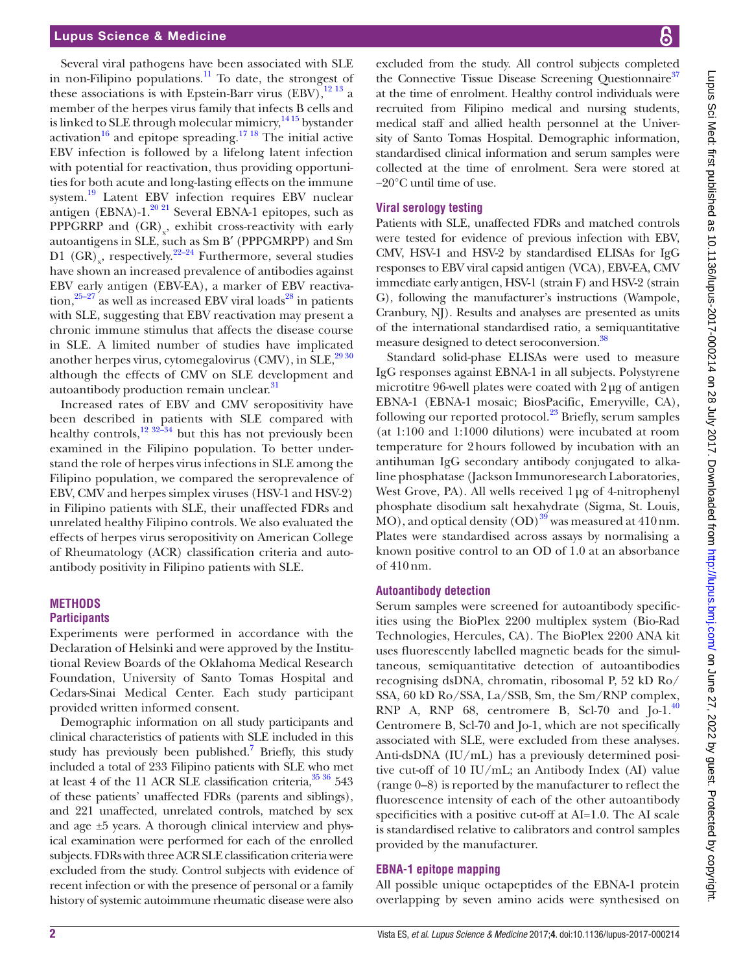## Lupus Science & Medicine

Several viral pathogens have been associated with SLE in non-Filipino populations. $^{11}$  To date, the strongest of these associations is with Epstein-Barr virus (EBV), $^{12}$  13 a member of the herpes virus family that infects B cells and is linked to SLE through molecular mimicry,<sup>1415</sup> bystander activation<sup>[16](#page-7-7)</sup> and epitope spreading.<sup>17</sup> <sup>18</sup> The initial active EBV infection is followed by a lifelong latent infection with potential for reactivation, thus providing opportunities for both acute and long-lasting effects on the immune system.<sup>19</sup> Latent EBV infection requires EBV nuclear antigen (EBNA)-1. $^{20}$  <sup>21</sup> Several EBNA-1 epitopes, such as PPPGRRP and  $(GR)_{x}$ , exhibit cross-reactivity with early autoantigens in SLE, such as Sm B′ (PPPGMRPP) and Sm D1  $(GR)_{x}$ , respectively.<sup>22–24</sup> Furthermore, several studies have shown an increased prevalence of antibodies against EBV early antigen (EBV-EA), a marker of EBV reactiva- $\frac{25-27}{25}$  as well as increased EBV viral loads<sup>28</sup> in patients with SLE, suggesting that EBV reactivation may present a chronic immune stimulus that affects the disease course in SLE. A limited number of studies have implicated another herpes virus, cytomegalovirus (CMV), in SLE, $^{29\,30}$ although the effects of CMV on SLE development and autoantibody production remain unclear.<sup>[31](#page-7-15)</sup>

Increased rates of EBV and CMV seropositivity have been described in patients with SLE compared with healthy controls,<sup>12 32–34</sup> but this has not previously been examined in the Filipino population. To better understand the role of herpes virus infections in SLE among the Filipino population, we compared the seroprevalence of EBV, CMV and herpes simplex viruses (HSV-1 and HSV-2) in Filipino patients with SLE, their unaffected FDRs and unrelated healthy Filipino controls. We also evaluated the effects of herpes virus seropositivity on American College of Rheumatology (ACR) classification criteria and autoantibody positivity in Filipino patients with SLE.

# **Methods Participants**

Experiments were performed in accordance with the Declaration of Helsinki and were approved by the Institutional Review Boards of the Oklahoma Medical Research Foundation, University of Santo Tomas Hospital and Cedars-Sinai Medical Center. Each study participant provided written informed consent.

Demographic information on all study participants and clinical characteristics of patients with SLE included in this study has previously been published.<sup>[7](#page-7-2)</sup> Briefly, this study included a total of 233 Filipino patients with SLE who met at least 4 of the 11 ACR SLE classification criteria,  $35\,36\,543$ of these patients' unaffected FDRs (parents and siblings), and 221 unaffected, unrelated controls, matched by sex and age ±5 years. A thorough clinical interview and physical examination were performed for each of the enrolled subjects. FDRs with three ACR SLE classification criteria were excluded from the study. Control subjects with evidence of recent infection or with the presence of personal or a family history of systemic autoimmune rheumatic disease were also

excluded from the study. All control subjects completed the Connective Tissue Disease Screening Questionnaire<sup>37</sup> at the time of enrolment. Healthy control individuals were recruited from Filipino medical and nursing students, medical staff and allied health personnel at the University of Santo Tomas Hospital. Demographic information, standardised clinical information and serum samples were collected at the time of enrolment. Sera were stored at −20°C until time of use.

#### **Viral serology testing**

Patients with SLE, unaffected FDRs and matched controls were tested for evidence of previous infection with EBV, CMV, HSV-1 and HSV-2 by standardised ELISAs for IgG responses to EBV viral capsid antigen (VCA), EBV-EA, CMV immediate early antigen, HSV-1 (strain F) and HSV-2 (strain G), following the manufacturer's instructions (Wampole, Cranbury, NJ). Results and analyses are presented as units of the international standardised ratio, a semiquantitative measure designed to detect seroconversion.<sup>[38](#page-7-18)</sup>

Standard solid-phase ELISAs were used to measure IgG responses against EBNA-1 in all subjects. Polystyrene microtitre 96-well plates were coated with 2µg of antigen EBNA-1 (EBNA-1 mosaic; BiosPacific, Emeryville, CA), following our reported protocol.<sup>23</sup> Briefly, serum samples (at 1:100 and 1:1000 dilutions) were incubated at room temperature for 2hours followed by incubation with an antihuman IgG secondary antibody conjugated to alkaline phosphatase (Jackson Immunoresearch Laboratories, West Grove, PA). All wells received  $1\mu$ g of 4-nitrophenyl phosphate disodium salt hexahydrate (Sigma, St. Louis,  $MO$ ), and optical density  $(OD)^{39}$  $(OD)^{39}$  $(OD)^{39}$  was measured at 410 nm. Plates were standardised across assays by normalising a known positive control to an OD of 1.0 at an absorbance of 410nm.

## **Autoantibody detection**

Serum samples were screened for autoantibody specificities using the BioPlex 2200 multiplex system (Bio-Rad Technologies, Hercules, CA). The BioPlex 2200 ANA kit uses fluorescently labelled magnetic beads for the simultaneous, semiquantitative detection of autoantibodies recognising dsDNA, chromatin, ribosomal P, 52 kD Ro/ SSA, 60 kD Ro/SSA, La/SSB, Sm, the Sm/RNP complex, RNP A, RNP 68, centromere B, Scl-70 and Jo-1.<sup>[40](#page-7-21)</sup> Centromere B, Scl-70 and Jo-1, which are not specifically associated with SLE, were excluded from these analyses. Anti-dsDNA (IU/mL) has a previously determined positive cut-off of 10 IU/mL; an Antibody Index (AI) value (range 0–8) is reported by the manufacturer to reflect the fluorescence intensity of each of the other autoantibody specificities with a positive cut-off at AI=1.0. The AI scale is standardised relative to calibrators and control samples provided by the manufacturer.

### **EBNA-1 epitope mapping**

All possible unique octapeptides of the EBNA-1 protein overlapping by seven amino acids were synthesised on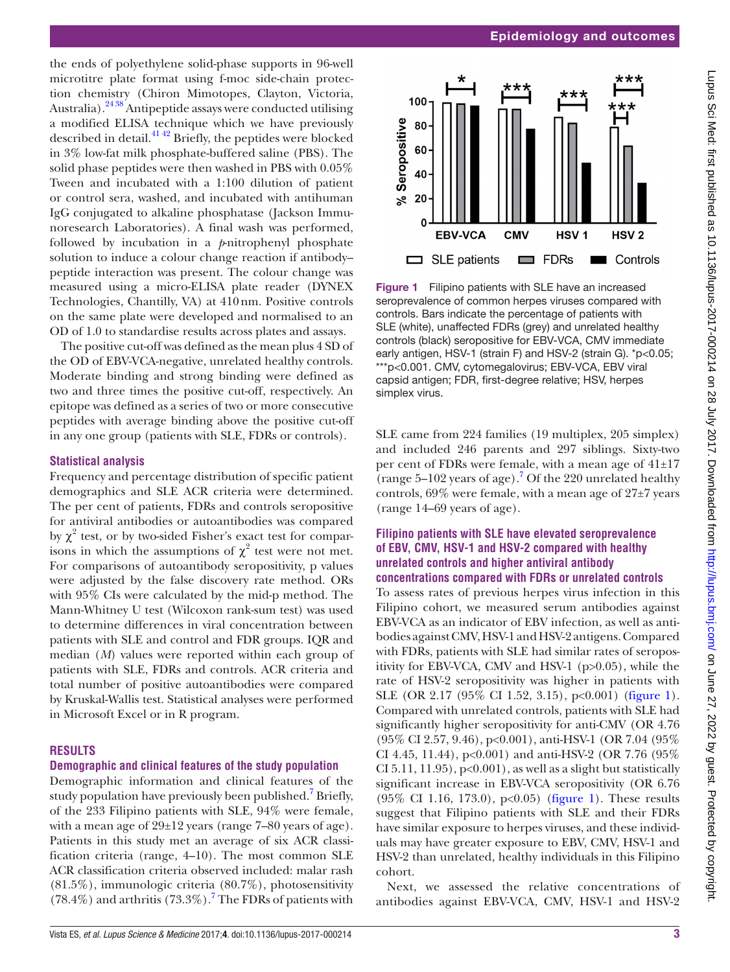the ends of polyethylene solid-phase supports in 96-well microtitre plate format using f-moc side-chain protection chemistry (Chiron Mimotopes, Clayton, Victoria, Australia).<sup>2438</sup> Antipeptide assays were conducted utilising a modified ELISA technique which we have previously described in detail.<sup>[41 42](#page-7-23)</sup> Briefly, the peptides were blocked in 3% low-fat milk phosphate-buffered saline (PBS). The solid phase peptides were then washed in PBS with 0.05% Tween and incubated with a 1:100 dilution of patient or control sera, washed, and incubated with antihuman IgG conjugated to alkaline phosphatase (Jackson Immunoresearch Laboratories). A final wash was performed, followed by incubation in a *p*-nitrophenyl phosphate solution to induce a colour change reaction if antibody– peptide interaction was present. The colour change was measured using a micro-ELISA plate reader (DYNEX Technologies, Chantilly, VA) at 410nm. Positive controls on the same plate were developed and normalised to an OD of 1.0 to standardise results across plates and assays.

The positive cut-off was defined as the mean plus 4 SD of the OD of EBV-VCA-negative, unrelated healthy controls. Moderate binding and strong binding were defined as two and three times the positive cut-off, respectively. An epitope was defined as a series of two or more consecutive peptides with average binding above the positive cut-off in any one group (patients with SLE, FDRs or controls).

## **Statistical analysis**

Frequency and percentage distribution of specific patient demographics and SLE ACR criteria were determined. The per cent of patients, FDRs and controls seropositive for antiviral antibodies or autoantibodies was compared by  $\chi^2$  test, or by two-sided Fisher's exact test for comparisons in which the assumptions of  $\chi^2$  test were not met. For comparisons of autoantibody seropositivity, p values were adjusted by the false discovery rate method. ORs with 95% CIs were calculated by the mid-p method. The Mann-Whitney U test (Wilcoxon rank-sum test) was used to determine differences in viral concentration between patients with SLE and control and FDR groups. IQR and median (*M*) values were reported within each group of patients with SLE, FDRs and controls. ACR criteria and total number of positive autoantibodies were compared by Kruskal-Wallis test. Statistical analyses were performed in Microsoft Excel or in R program.

# **Results**

# **Demographic and clinical features of the study population**

Demographic information and clinical features of the study population have previously been published.<sup>[7](#page-7-2)</sup> Briefly, of the 233 Filipino patients with SLE, 94% were female, with a mean age of 29±12 years (range 7–80 years of age). Patients in this study met an average of six ACR classification criteria (range, 4–10). The most common SLE ACR classification criteria observed included: malar rash (81.5%), immunologic criteria (80.7%), photosensitivity  $(78.4\%)$  $(78.4\%)$  $(78.4\%)$  and arthritis  $(73.3\%)$ . The FDRs of patients with



<span id="page-2-0"></span>Figure 1 Filipino patients with SLE have an increased seroprevalence of common herpes viruses compared with controls. Bars indicate the percentage of patients with SLE (white), unaffected FDRs (grey) and unrelated healthy controls (black) seropositive for EBV-VCA, CMV immediate early antigen, HSV-1 (strain F) and HSV-2 (strain G). \*p<0.05; \*\*\*p<0.001. CMV, cytomegalovirus; EBV-VCA, EBV viral capsid antigen; FDR, first-degree relative; HSV, herpes simplex virus.

SLE came from 224 families (19 multiplex, 205 simplex) and included 246 parents and 297 siblings. Sixty-two per cent of FDRs were female, with a mean age of 41±17 (range  $5-102$  years of age).<sup>[7](#page-7-2)</sup> Of the 220 unrelated healthy controls,  $69\%$  were female, with a mean age of  $27\pm7$  years (range 14–69 years of age).

## **Filipino patients with SLE have elevated seroprevalence of EBV, CMV, HSV-1 and HSV-2 compared with healthy unrelated controls and higher antiviral antibody concentrations compared with FDRs or unrelated controls**

To assess rates of previous herpes virus infection in this Filipino cohort, we measured serum antibodies against EBV-VCA as an indicator of EBV infection, as well as antibodies against CMV, HSV-1 and HSV-2 antigens. Compared with FDRs, patients with SLE had similar rates of seropositivity for EBV-VCA, CMV and HSV-1 (p>0.05), while the rate of HSV-2 seropositivity was higher in patients with SLE (OR 2.17 (95% CI 1.52, 3.15), p<0.001) [\(figure](#page-2-0) 1). Compared with unrelated controls, patients with SLE had significantly higher seropositivity for anti-CMV (OR 4.76 (95% CI 2.57, 9.46), p<0.001), anti-HSV-1 (OR 7.04 (95% CI 4.45, 11.44),  $p<0.001$  and anti-HSV-2 (OR 7.76 (95%) CI 5.11, 11.95),  $p<0.001$ , as well as a slight but statistically significant increase in EBV-VCA seropositivity (OR 6.76 (95% CI 1.16, 173.0), p<0.05) [\(figure](#page-2-0) 1). These results suggest that Filipino patients with SLE and their FDRs have similar exposure to herpes viruses, and these individuals may have greater exposure to EBV, CMV, HSV-1 and HSV-2 than unrelated, healthy individuals in this Filipino cohort.

Next, we assessed the relative concentrations of antibodies against EBV-VCA, CMV, HSV-1 and HSV-2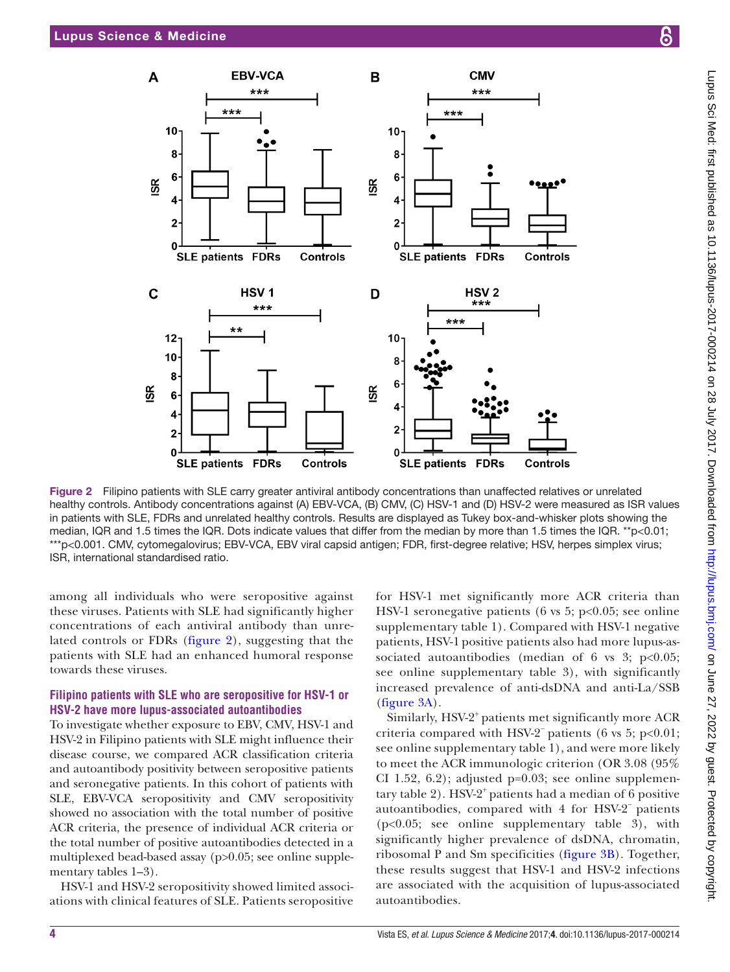

<span id="page-3-0"></span>Figure 2 Filipino patients with SLE carry greater antiviral antibody concentrations than unaffected relatives or unrelated healthy controls. Antibody concentrations against (A) EBV-VCA, (B) CMV, (C) HSV-1 and (D) HSV-2 were measured as ISR values in patients with SLE, FDRs and unrelated healthy controls. Results are displayed as Tukey box-and-whisker plots showing the median, IQR and 1.5 times the IQR. Dots indicate values that differ from the median by more than 1.5 times the IQR. \*\*p<0.01; \*\*\*p<0.001. CMV, cytomegalovirus; EBV-VCA, EBV viral capsid antigen; FDR, first-degree relative; HSV, herpes simplex virus; ISR, international standardised ratio.

among all individuals who were seropositive against these viruses. Patients with SLE had significantly higher concentrations of each antiviral antibody than unrelated controls or FDRs [\(figure](#page-3-0) 2), suggesting that the patients with SLE had an enhanced humoral response towards these viruses.

## **Filipino patients with SLE who are seropositive for HSV-1 or HSV-2 have more lupus-associated autoantibodies**

To investigate whether exposure to EBV, CMV, HSV-1 and HSV-2 in Filipino patients with SLE might influence their disease course, we compared ACR classification criteria and autoantibody positivity between seropositive patients and seronegative patients. In this cohort of patients with SLE, EBV-VCA seropositivity and CMV seropositivity showed no association with the total number of positive ACR criteria, the presence of individual ACR criteria or the total number of positive autoantibodies detected in a multiplexed bead-based assay (p>0.05; see online s[upple](https://dx.doi.org/10.1136/lupus-2017-000214)[mentary tables 1–3](https://dx.doi.org/10.1136/lupus-2017-000214)).

HSV-1 and HSV-2 seropositivity showed limited associations with clinical features of SLE. Patients seropositive for HSV-1 met significantly more ACR criteria than HSV-1 seronegative patients (6 vs 5;  $p<0.05$ ; see online s[upplementary table 1](https://dx.doi.org/10.1136/lupus-2017-000214)). Compared with HSV-1 negative patients, HSV-1 positive patients also had more lupus-associated autoantibodies (median of 6 vs 3;  $p<0.05$ ; see online s[upplementary table 3\)](https://dx.doi.org/10.1136/lupus-2017-000214), with significantly increased prevalence of anti-dsDNA and anti-La/SSB [\(figure](#page-4-0) 3A).

Similarly, HSV-2<sup>+</sup> patients met significantly more ACR criteria compared with HSV-2<sup> $-$ </sup> patients (6 vs 5; p<0.01; see online [supplementary table 1](https://dx.doi.org/10.1136/lupus-2017-000214)), and were more likely to meet the ACR immunologic criterion (OR 3.08 (95% CI 1.52, 6.2); adjusted p=0.03; see online [supplemen](https://dx.doi.org/10.1136/lupus-2017-000214)[tary table 2\)](https://dx.doi.org/10.1136/lupus-2017-000214). HSV-2<sup>+</sup> patients had a median of 6 positive autoantibodies, compared with 4 for HSV-2<sup>−</sup> patients (p<0.05; see online s[upplementary table 3\)](https://dx.doi.org/10.1136/lupus-2017-000214), with significantly higher prevalence of dsDNA, chromatin, ribosomal P and Sm specificities ([figure](#page-4-0) 3B). Together, these results suggest that HSV-1 and HSV-2 infections are associated with the acquisition of lupus-associated autoantibodies.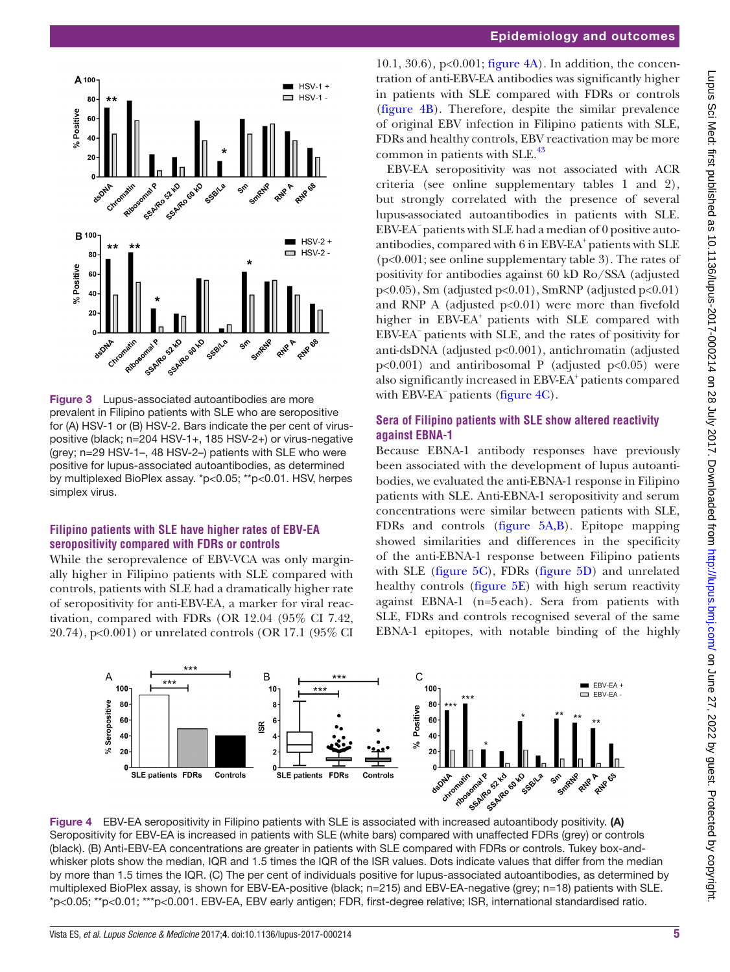

<span id="page-4-0"></span>Figure 3 Lupus-associated autoantibodies are more prevalent in Filipino patients with SLE who are seropositive for (A) HSV-1 or (B) HSV-2. Bars indicate the per cent of viruspositive (black; n=204 HSV-1+, 185 HSV-2+) or virus-negative (grey; n=29 HSV-1–, 48 HSV-2–) patients with SLE who were positive for lupus-associated autoantibodies, as determined by multiplexed BioPlex assay. \*p<0.05; \*\*p<0.01. HSV, herpes simplex virus.

## **Filipino patients with SLE have higher rates of EBV-EA seropositivity compared with FDRs or controls**

While the seroprevalence of EBV-VCA was only marginally higher in Filipino patients with SLE compared with controls, patients with SLE had a dramatically higher rate of seropositivity for anti-EBV-EA, a marker for viral reactivation, compared with FDRs (OR 12.04 (95% CI 7.42, 20.74), p<0.001) or unrelated controls (OR 17.1 (95% CI

10.1, 30.6),  $p<0.001$ ; [figure](#page-4-1)  $4A$ ). In addition, the concentration of anti-EBV-EA antibodies was significantly higher in patients with SLE compared with FDRs or controls [\(figure](#page-4-1) 4B). Therefore, despite the similar prevalence of original EBV infection in Filipino patients with SLE, FDRs and healthy controls, EBV reactivation may be more common in patients with SLE.<sup>43</sup>

EBV-EA seropositivity was not associated with ACR criteria (see online s[upplementary tables 1](https://dx.doi.org/10.1136/lupus-2017-000214) and 2), but strongly correlated with the presence of several lupus-associated autoantibodies in patients with SLE. EBV-EA−patients with SLE had a median of 0 positive autoantibodies, compared with  $6$  in EBV-EA<sup>+</sup> patients with SLE (p<0.001; see online s[upplementary table 3\)](https://dx.doi.org/10.1136/lupus-2017-000214). The rates of positivity for antibodies against 60 kD Ro/SSA (adjusted  $p<0.05$ ), Sm (adjusted  $p<0.01$ ), SmRNP (adjusted  $p<0.01$ ) and RNP A (adjusted  $p<0.01$ ) were more than fivefold higher in EBV-EA<sup>+</sup> patients with SLE compared with EBV-EA− patients with SLE, and the rates of positivity for anti-dsDNA (adjusted p<0.001), antichromatin (adjusted  $p<0.001$ ) and antiribosomal P (adjusted  $p<0.05$ ) were also significantly increased in EBV-EA+ patients compared with EBV-EA<sup>−</sup> patients [\(figure](#page-4-1) 4C).

## **Sera of Filipino patients with SLE show altered reactivity against EBNA-1**

Because EBNA-1 antibody responses have previously been associated with the development of lupus autoantibodies, we evaluated the anti-EBNA-1 response in Filipino patients with SLE. Anti-EBNA-1 seropositivity and serum concentrations were similar between patients with SLE, FDRs and controls ([figure](#page-5-0) 5A,B). Epitope mapping showed similarities and differences in the specificity of the anti-EBNA-1 response between Filipino patients with SLE ([figure](#page-5-0) 5C), FDRs [\(figure](#page-5-0) 5D) and unrelated healthy controls [\(figure](#page-5-0) 5E) with high serum reactivity against EBNA-1 (n=5each). Sera from patients with SLE, FDRs and controls recognised several of the same EBNA-1 epitopes, with notable binding of the highly



<span id="page-4-1"></span>Seropositivity for EBV-EA is increased in patients with SLE (white bars) compared with unaffected FDRs (grey) or controls (black). (B) Anti-EBV-EA concentrations are greater in patients with SLE compared with FDRs or controls. Tukey box-andwhisker plots show the median, IQR and 1.5 times the IQR of the ISR values. Dots indicate values that differ from the median by more than 1.5 times the IQR. (C) The per cent of individuals positive for lupus-associated autoantibodies, as determined by multiplexed BioPlex assay, is shown for EBV-EA-positive (black; n=215) and EBV-EA-negative (grey; n=18) patients with SLE. \*p<0.05; \*\*p<0.01; \*\*\*p<0.001. EBV-EA, EBV early antigen; FDR, first-degree relative; ISR, international standardised ratio.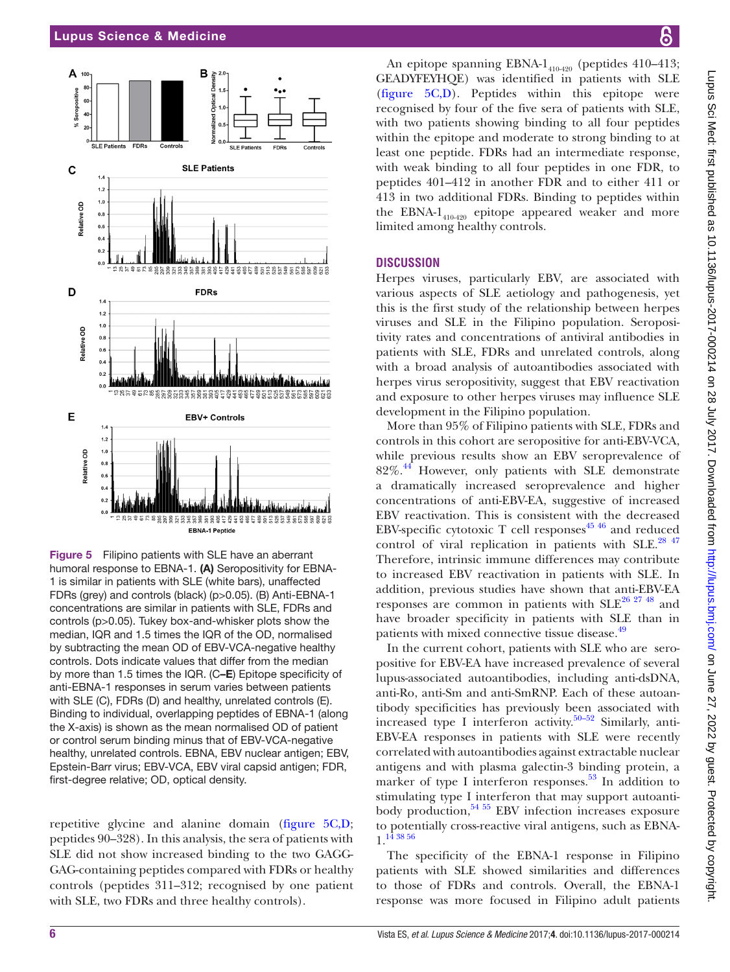

<span id="page-5-0"></span>Figure 5 Filipino patients with SLE have an aberrant humoral response to EBNA-1. (A) Seropositivity for EBNA-1 is similar in patients with SLE (white bars), unaffected FDRs (grey) and controls (black) (p>0.05). (B) Anti-EBNA-1 concentrations are similar in patients with SLE, FDRs and controls (p>0.05). Tukey box-and-whisker plots show the median, IQR and 1.5 times the IQR of the OD, normalised by subtracting the mean OD of EBV-VCA-negative healthy controls. Dots indicate values that differ from the median by more than 1.5 times the IQR. (C–E) Epitope specificity of anti-EBNA-1 responses in serum varies between patients with SLE (C), FDRs (D) and healthy, unrelated controls (E). Binding to individual, overlapping peptides of EBNA-1 (along the X-axis) is shown as the mean normalised OD of patient or control serum binding minus that of EBV-VCA-negative healthy, unrelated controls. EBNA, EBV nuclear antigen; EBV, Epstein-Barr virus; EBV-VCA, EBV viral capsid antigen; FDR, first-degree relative; OD, optical density.

repetitive glycine and alanine domain [\(figure](#page-5-0) 5C,D; peptides 90–328). In this analysis, the sera of patients with SLE did not show increased binding to the two GAGG-GAG-containing peptides compared with FDRs or healthy controls (peptides 311–312; recognised by one patient with SLE, two FDRs and three healthy controls).

An epitope spanning EBNA- $1_{410420}$  (peptides 410–413; GEADYFEYHQE) was identified in patients with SLE [\(figure](#page-5-0) 5C,D). Peptides within this epitope were recognised by four of the five sera of patients with SLE, with two patients showing binding to all four peptides within the epitope and moderate to strong binding to at least one peptide. FDRs had an intermediate response, with weak binding to all four peptides in one FDR, to peptides 401–412 in another FDR and to either 411 or 413 in two additional FDRs. Binding to peptides within the EBNA- $1_{410-420}$  epitope appeared weaker and more limited among healthy controls.

## **Discussion**

Herpes viruses, particularly EBV, are associated with various aspects of SLE aetiology and pathogenesis, yet this is the first study of the relationship between herpes viruses and SLE in the Filipino population. Seropositivity rates and concentrations of antiviral antibodies in patients with SLE, FDRs and unrelated controls, along with a broad analysis of autoantibodies associated with herpes virus seropositivity, suggest that EBV reactivation and exposure to other herpes viruses may influence SLE development in the Filipino population.

More than 95% of Filipino patients with SLE, FDRs and controls in this cohort are seropositive for anti-EBV-VCA, while previous results show an EBV seroprevalence of  $82\%$ .<sup>44</sup> However, only patients with SLE demonstrate a dramatically increased seroprevalence and higher concentrations of anti-EBV-EA, suggestive of increased EBV reactivation. This is consistent with the decreased EBV-specific cytotoxic T cell responses<sup>45 46</sup> and reduced control of viral replication in patients with SLE.<sup>[28 47](#page-7-13)</sup> Therefore, intrinsic immune differences may contribute to increased EBV reactivation in patients with SLE. In addition, previous studies have shown that anti-EBV-EA responses are common in patients with  $SLE^{26\ 27\ 48}$  and have broader specificity in patients with SLE than in patients with mixed connective tissue disease.<sup>[49](#page-7-28)</sup>

In the current cohort, patients with SLE who are seropositive for EBV-EA have increased prevalence of several lupus-associated autoantibodies, including anti-dsDNA, anti-Ro, anti-Sm and anti-SmRNP. Each of these autoantibody specificities has previously been associated with increased type I interferon activity.<sup>[50–52](#page-7-29)</sup> Similarly, anti-EBV-EA responses in patients with SLE were recently correlated with autoantibodies against extractable nuclear antigens and with plasma galectin-3 binding protein, a marker of type I interferon responses.<sup>53</sup> In addition to stimulating type I interferon that may support autoantibody production,  $54\frac{55}{12}$  EBV infection increases exposure to potentially cross-reactive viral antigens, such as EBNA-1.[14 38 56](#page-7-6)

The specificity of the EBNA-1 response in Filipino patients with SLE showed similarities and differences to those of FDRs and controls. Overall, the EBNA-1 response was more focused in Filipino adult patients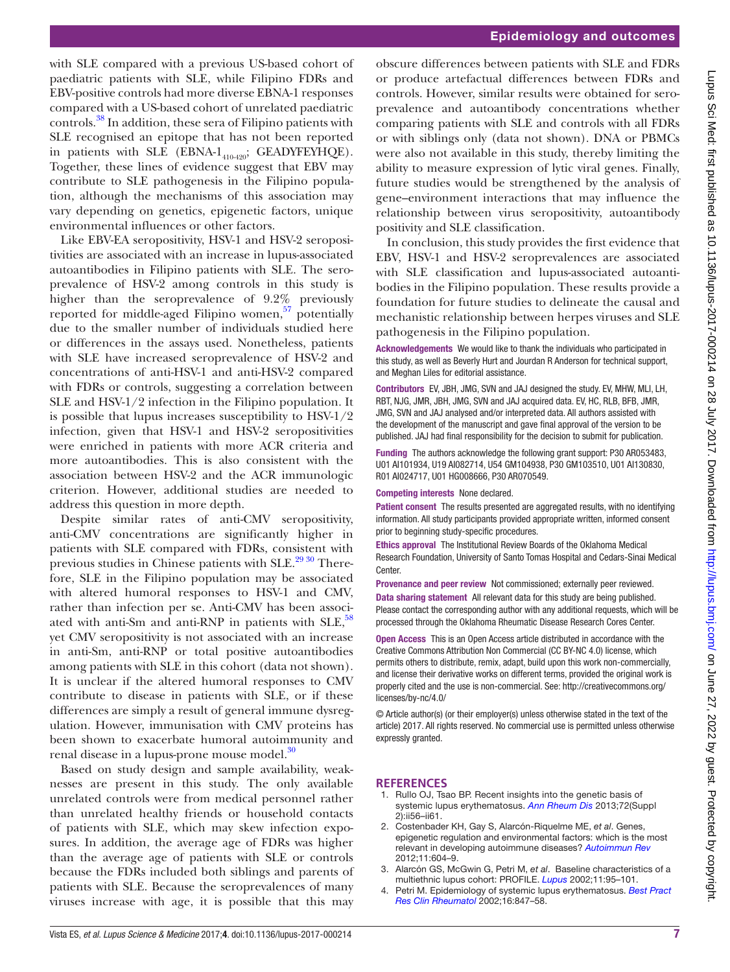with SLE compared with a previous US-based cohort of paediatric patients with SLE, while Filipino FDRs and EBV-positive controls had more diverse EBNA-1 responses compared with a US-based cohort of unrelated paediatric controls.[38](#page-7-18) In addition, these sera of Filipino patients with SLE recognised an epitope that has not been reported in patients with SLE (EBNA- $1_{410-420}$ ; GEADYFEYHQE). Together, these lines of evidence suggest that EBV may contribute to SLE pathogenesis in the Filipino population, although the mechanisms of this association may vary depending on genetics, epigenetic factors, unique environmental influences or other factors.

Like EBV-EA seropositivity, HSV-1 and HSV-2 seropositivities are associated with an increase in lupus-associated autoantibodies in Filipino patients with SLE. The seroprevalence of HSV-2 among controls in this study is higher than the seroprevalence of 9.2% previously reported for middle-aged Filipino women, $57$  potentially due to the smaller number of individuals studied here or differences in the assays used. Nonetheless, patients with SLE have increased seroprevalence of HSV-2 and concentrations of anti-HSV-1 and anti-HSV-2 compared with FDRs or controls, suggesting a correlation between SLE and HSV-1/2 infection in the Filipino population. It is possible that lupus increases susceptibility to HSV-1/2 infection, given that HSV-1 and HSV-2 seropositivities were enriched in patients with more ACR criteria and more autoantibodies. This is also consistent with the association between HSV-2 and the ACR immunologic criterion. However, additional studies are needed to address this question in more depth.

Despite similar rates of anti-CMV seropositivity, anti-CMV concentrations are significantly higher in patients with SLE compared with FDRs, consistent with previous studies in Chinese patients with SLE.<sup>29 30</sup> Therefore, SLE in the Filipino population may be associated with altered humoral responses to HSV-1 and CMV, rather than infection per se. Anti-CMV has been associated with anti-Sm and anti-RNP in patients with  $SLE$ ,  $58$ yet CMV seropositivity is not associated with an increase in anti-Sm, anti-RNP or total positive autoantibodies among patients with SLE in this cohort (data not shown). It is unclear if the altered humoral responses to CMV contribute to disease in patients with SLE, or if these differences are simply a result of general immune dysregulation. However, immunisation with CMV proteins has been shown to exacerbate humoral autoimmunity and renal disease in a lupus-prone mouse model.<sup>30</sup>

Based on study design and sample availability, weaknesses are present in this study. The only available unrelated controls were from medical personnel rather than unrelated healthy friends or household contacts of patients with SLE, which may skew infection exposures. In addition, the average age of FDRs was higher than the average age of patients with SLE or controls because the FDRs included both siblings and parents of patients with SLE. Because the seroprevalences of many viruses increase with age, it is possible that this may

obscure differences between patients with SLE and FDRs or produce artefactual differences between FDRs and controls. However, similar results were obtained for seroprevalence and autoantibody concentrations whether comparing patients with SLE and controls with all FDRs or with siblings only (data not shown). DNA or PBMCs were also not available in this study, thereby limiting the ability to measure expression of lytic viral genes. Finally, future studies would be strengthened by the analysis of gene–environment interactions that may influence the relationship between virus seropositivity, autoantibody positivity and SLE classification.

In conclusion, this study provides the first evidence that EBV, HSV-1 and HSV-2 seroprevalences are associated with SLE classification and lupus-associated autoantibodies in the Filipino population. These results provide a foundation for future studies to delineate the causal and mechanistic relationship between herpes viruses and SLE pathogenesis in the Filipino population.

Acknowledgements We would like to thank the individuals who participated in this study, as well as Beverly Hurt and Jourdan R Anderson for technical support, and Meghan Liles for editorial assistance.

Contributors EV, JBH, JMG, SVN and JAJ designed the study. EV, MHW, MLI, LH, RBT, NJG, JMR, JBH, JMG, SVN and JAJ acquired data. EV, HC, RLB, BFB, JMR, JMG, SVN and JAJ analysed and/or interpreted data. All authors assisted with the development of the manuscript and gave final approval of the version to be published. JAJ had final responsibility for the decision to submit for publication.

Funding The authors acknowledge the following grant support: P30 AR053483, U01 AI101934, U19 AI082714, U54 GM104938, P30 GM103510, U01 AI130830, R01 AI024717, U01 HG008666, P30 AR070549.

Competing interests None declared.

Patient consent The results presented are aggregated results, with no identifying information. All study participants provided appropriate written, informed consent prior to beginning study-specific procedures.

Ethics approval The Institutional Review Boards of the Oklahoma Medical Research Foundation, University of Santo Tomas Hospital and Cedars-Sinai Medical Center.

Provenance and peer review Not commissioned; externally peer reviewed. Data sharing statement All relevant data for this study are being published. Please contact the corresponding author with any additional requests, which will be processed through the Oklahoma Rheumatic Disease Research Cores Center.

Open Access This is an Open Access article distributed in accordance with the Creative Commons Attribution Non Commercial (CC BY-NC 4.0) license, which permits others to distribute, remix, adapt, build upon this work non-commercially, and license their derivative works on different terms, provided the original work is properly cited and the use is non-commercial. See: [http://creativecommons.org/](http://creativecommons.org/licenses/by-nc/4.0/) [licenses/by-nc/4.0/](http://creativecommons.org/licenses/by-nc/4.0/)

© Article author(s) (or their employer(s) unless otherwise stated in the text of the article) 2017. All rights reserved. No commercial use is permitted unless otherwise expressly granted.

# **References**

- <span id="page-6-0"></span>1. Rullo OJ, Tsao BP. Recent insights into the genetic basis of systemic lupus erythematosus. *[Ann Rheum Dis](http://dx.doi.org/10.1136/annrheumdis-2012-202351)* 2013;72(Suppl 2):ii56–ii61.
- <span id="page-6-1"></span>2. Costenbader KH, Gay S, Alarcón-Riquelme ME, *et al*. Genes, epigenetic regulation and environmental factors: which is the most relevant in developing autoimmune diseases? *[Autoimmun Rev](http://dx.doi.org/10.1016/j.autrev.2011.10.022)* 2012;11:604–9.
- <span id="page-6-2"></span>3. Alarcón GS, McGwin G, Petri M, *et al*. Baseline characteristics of a multiethnic lupus cohort: PROFILE. *[Lupus](http://dx.doi.org/10.1191/9612332lu155oa)* 2002;11:95–101.
- 4. Petri M. Epidemiology of systemic lupus erythematosus. *[Best Pract](http://dx.doi.org/10.1053/berh.2002.0259)  [Res Clin Rheumatol](http://dx.doi.org/10.1053/berh.2002.0259)* 2002;16:847–58.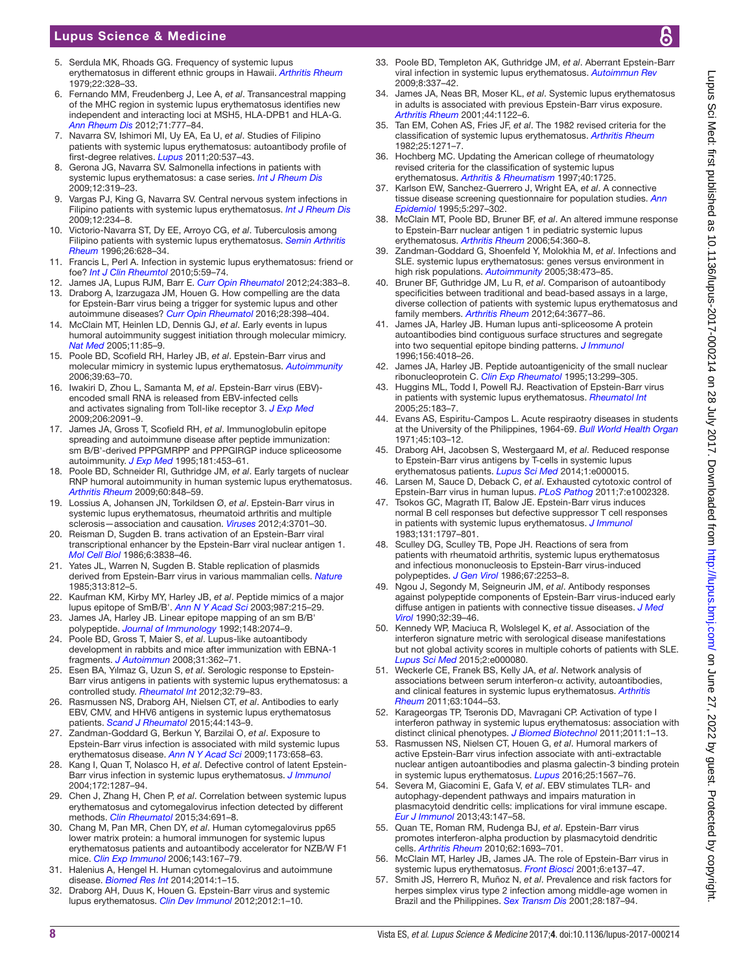# Lupus Science & Medicine

- <span id="page-7-0"></span>5. Serdula MK, Rhoads GG. Frequency of systemic lupus erythematosus in different ethnic groups in Hawaii. *[Arthritis Rheum](http://dx.doi.org/10.1002/art.1780220403)* 1979;22:328–33.
- <span id="page-7-1"></span>6. Fernando MM, Freudenberg J, Lee A, *et al*. Transancestral mapping of the MHC region in systemic lupus erythematosus identifies new independent and interacting loci at MSH5, HLA-DPB1 and HLA-G. *[Ann Rheum Dis](http://dx.doi.org/10.1136/annrheumdis-2011-200808)* 2012;71:777–84.
- <span id="page-7-2"></span>7. Navarra SV, Ishimori MI, Uy EA, Ea U, *et al*. Studies of Filipino patients with systemic lupus erythematosus: autoantibody profile of first-degree relatives. *[Lupus](http://dx.doi.org/10.1177/0961203310385164)* 2011;20:537–43.
- <span id="page-7-3"></span>8. Gerona JG, Navarra SV. Salmonella infections in patients with systemic lupus erythematosus: a case series. *[Int J Rheum Dis](http://dx.doi.org/10.1111/j.1756-185X.2009.01440.x)* 2009;12:319–23.
- 9. Vargas PJ, King G, Navarra SV. Central nervous system infections in Filipino patients with systemic lupus erythematosus. *[Int J Rheum Dis](http://dx.doi.org/10.1111/j.1756-185X.2009.01416.x)* 2009;12:234–8.
- 10. Victorio-Navarra ST, Dy EE, Arroyo CG, *et al*. Tuberculosis among Filipino patients with systemic lupus erythematosus. *[Semin Arthritis](http://dx.doi.org/10.1016/S0049-0172(96)80013-8)  [Rheum](http://dx.doi.org/10.1016/S0049-0172(96)80013-8)* 1996;26:628–34.
- <span id="page-7-4"></span>11. Francis L, Perl A. Infection in systemic lupus erythematosus: friend or foe? *[Int J Clin Rheumtol](http://dx.doi.org/10.2217/ijr.09.72)* 2010;5:59–74.
- <span id="page-7-5"></span>12. James JA, Lupus RJM, Barr E. *Curr Opin Rheumatol* 2012;24:383–8.
- 13. Draborg A, Izarzugaza JM, Houen G. How compelling are the data for Epstein-Barr virus being a trigger for systemic lupus and other autoimmune diseases? *[Curr Opin Rheumatol](http://dx.doi.org/10.1097/BOR.0000000000000289)* 2016;28:398–404.
- <span id="page-7-6"></span>14. McClain MT, Heinlen LD, Dennis GJ, *et al*. Early events in lupus humoral autoimmunity suggest initiation through molecular mimicry. *[Nat Med](http://dx.doi.org/10.1038/nm1167)* 2005;11:85–9.
- 15. Poole BD, Scofield RH, Harley JB, *et al*. Epstein-Barr virus and molecular mimicry in systemic lupus erythematosus. *[Autoimmunity](http://dx.doi.org/10.1080/08916930500484849)* 2006;39:63–70.
- <span id="page-7-7"></span>16. Iwakiri D, Zhou L, Samanta M, *et al*. Epstein-Barr virus (EBV) encoded small RNA is released from EBV-infected cells and activates signaling from Toll-like receptor 3. *[J Exp Med](http://dx.doi.org/10.1084/jem.20081761)* 2009;206:2091–9.
- <span id="page-7-8"></span>17. James JA, Gross T, Scofield RH, *et al*. Immunoglobulin epitope spreading and autoimmune disease after peptide immunization: sm B/B'-derived PPPGMRPP and PPPGIRGP induce spliceosome autoimmunity. *[J Exp Med](http://dx.doi.org/10.1084/jem.181.2.453)* 1995;181:453–61.
- 18. Poole BD, Schneider RI, Guthridge JM, *et al*. Early targets of nuclear RNP humoral autoimmunity in human systemic lupus erythematosus. *[Arthritis Rheum](http://dx.doi.org/10.1002/art.24306)* 2009;60:848–59.
- <span id="page-7-9"></span>19. Lossius A, Johansen JN, Torkildsen Ø, *et al*. Epstein-Barr virus in systemic lupus erythematosus, rheumatoid arthritis and multiple sclerosis—association and causation. *[Viruses](http://dx.doi.org/10.3390/v4123701)* 2012;4:3701–30.
- <span id="page-7-10"></span>20. Reisman D, Sugden B. trans activation of an Epstein-Barr viral transcriptional enhancer by the Epstein-Barr viral nuclear antigen 1. *[Mol Cell Biol](http://dx.doi.org/10.1128/MCB.6.11.3838)* 1986;6:3838–46.
- 21. Yates JL, Warren N, Sugden B. Stable replication of plasmids derived from Epstein-Barr virus in various mammalian cells. *[Nature](http://dx.doi.org/10.1038/313812a0)* 1985;313:812–5.
- <span id="page-7-11"></span>22. Kaufman KM, Kirby MY, Harley JB, *et al*. Peptide mimics of a major lupus epitope of SmB/B'. *[Ann N Y Acad Sci](http://dx.doi.org/10.1111/j.1749-6632.2003.tb06051.x)* 2003;987:215–29.
- <span id="page-7-19"></span>23. James JA, Harley JB. Linear epitope mapping of an sm B/B' polypeptide. *Journal of Immunology* 1992;148:2074–9.
- <span id="page-7-22"></span>24. Poole BD, Gross T, Maier S, *et al*. Lupus-like autoantibody development in rabbits and mice after immunization with EBNA-1 fragments. *[J Autoimmun](http://dx.doi.org/10.1016/j.jaut.2008.08.007)* 2008;31:362–71.
- <span id="page-7-12"></span>25. Esen BA, Yılmaz G, Uzun S, *et al*. Serologic response to Epstein-Barr virus antigens in patients with systemic lupus erythematosus: a controlled study. *[Rheumatol Int](http://dx.doi.org/10.1007/s00296-010-1573-4)* 2012;32:79–83.
- <span id="page-7-27"></span>26. Rasmussen NS, Draborg AH, Nielsen CT, *et al*. Antibodies to early EBV, CMV, and HHV6 antigens in systemic lupus erythematosus patients. *[Scand J Rheumatol](http://dx.doi.org/10.3109/03009742.2014.973061)* 2015;44:143–9.
- 27. Zandman-Goddard G, Berkun Y, Barzilai O, *et al*. Exposure to Epstein-Barr virus infection is associated with mild systemic lupus erythematosus disease. *[Ann N Y Acad Sci](http://dx.doi.org/10.1111/j.1749-6632.2009.04754.x)* 2009;1173:658–63.
- <span id="page-7-13"></span>28. Kang I, Quan T, Nolasco H, *et al*. Defective control of latent Epstein-Barr virus infection in systemic lupus erythematosus. *[J Immunol](http://dx.doi.org/10.4049/jimmunol.172.2.1287)* 2004;172:1287–94.
- <span id="page-7-14"></span>29. Chen J, Zhang H, Chen P, *et al*. Correlation between systemic lupus erythematosus and cytomegalovirus infection detected by different methods. *[Clin Rheumatol](http://dx.doi.org/10.1007/s10067-015-2868-3)* 2015;34:691–8.
- <span id="page-7-33"></span>30. Chang M, Pan MR, Chen DY, *et al*. Human cytomegalovirus pp65 lower matrix protein: a humoral immunogen for systemic lupus erythematosus patients and autoantibody accelerator for NZB/W F1 mice. *[Clin Exp Immunol](http://dx.doi.org/10.1111/j.1365-2249.2005.02974.x)* 2006;143:167–79.
- <span id="page-7-15"></span>31. Halenius A, Hengel H. Human cytomegalovirus and autoimmune disease. *[Biomed Res Int](http://dx.doi.org/10.1155/2014/472978)* 2014;2014:1–15.
- 32. Draborg AH, Duus K, Houen G. Epstein-Barr virus and systemic lupus erythematosus. *[Clin Dev Immunol](http://dx.doi.org/10.1155/2012/370516)* 2012;2012:1–10.
- 33. Poole BD, Templeton AK, Guthridge JM, *et al*. Aberrant Epstein-Barr viral infection in systemic lupus erythematosus. *[Autoimmun Rev](http://dx.doi.org/10.1016/j.autrev.2008.12.008)* 2009;8:337–42.
- 34. James JA, Neas BR, Moser KL, *et al*. Systemic lupus erythematosus in adults is associated with previous Epstein-Barr virus exposure. *[Arthritis Rheum](http://dx.doi.org/10.1002/1529-0131(200105)44:5<1122::AID-ANR193>3.0.CO;2-D)* 2001;44:1122–6.
- <span id="page-7-16"></span>35. Tan EM, Cohen AS, Fries JF, *et al*. The 1982 revised criteria for the classification of systemic lupus erythematosus. *[Arthritis Rheum](http://dx.doi.org/10.1002/art.1780251101)* 1982;25:1271–7.
- 36. Hochberg MC. Updating the American college of rheumatology revised criteria for the classification of systemic lupus erythematosus. *[Arthritis & Rheumatism](http://dx.doi.org/10.1002/art.1780400928)* 1997;40:1725.
- <span id="page-7-17"></span>37. Karlson EW, Sanchez-Guerrero J, Wright EA, *et al*. A connective tissue disease screening questionnaire for population studies. *[Ann](http://dx.doi.org/10.1016/1047-2797(94)00096-C)  [Epidemiol](http://dx.doi.org/10.1016/1047-2797(94)00096-C)* 1995;5:297–302.
- <span id="page-7-18"></span>38. McClain MT, Poole BD, Bruner BF, *et al*. An altered immune response to Epstein-Barr nuclear antigen 1 in pediatric systemic lupus erythematosus. *[Arthritis Rheum](http://dx.doi.org/10.1002/art.21682)* 2006;54:360–8.
- <span id="page-7-20"></span>39. Zandman-Goddard G, Shoenfeld Y, Molokhia M, *et al*. Infections and SLE. systemic lupus erythematosus: genes versus environment in high risk populations. *Autoimmunity* 2005;38:473–85.
- <span id="page-7-21"></span>40. Bruner BF, Guthridge JM, Lu R, *et al*. Comparison of autoantibody specificities between traditional and bead-based assays in a large, diverse collection of patients with systemic lupus erythematosus and family members. *[Arthritis Rheum](http://dx.doi.org/10.1002/art.34651)* 2012;64:3677–86.
- <span id="page-7-23"></span>41. James JA, Harley JB. Human lupus anti-spliceosome A protein autoantibodies bind contiguous surface structures and segregate into two sequential epitope binding patterns. *J Immunol* 1996;156:4018–26.
- 42. James JA, Harley JB. Peptide autoantigenicity of the small nuclear ribonucleoprotein C. *Clin Exp Rheumatol* 1995;13:299–305.
- <span id="page-7-24"></span>43. Huggins ML, Todd I, Powell RJ. Reactivation of Epstein-Barr virus in patients with systemic lupus erythematosus. *[Rheumatol Int](http://dx.doi.org/10.1007/s00296-003-0420-2)* 2005;25:183–7.
- <span id="page-7-25"></span>44. Evans AS, Espiritu-Campos L. Acute respiraotry diseases in students at the University of the Philippines, 1964-69. *Bull World Health Organ* 1971;45:103–12.
- <span id="page-7-26"></span>45. Draborg AH, Jacobsen S, Westergaard M, *et al*. Reduced response to Epstein-Barr virus antigens by T-cells in systemic lupus erythematosus patients. *[Lupus Sci Med](http://dx.doi.org/10.1136/lupus-2014-000015)* 2014;1:e000015.
- 46. Larsen M, Sauce D, Deback C, *et al*. Exhausted cytotoxic control of Epstein-Barr virus in human lupus. *[PLoS Pathog](http://dx.doi.org/10.1371/journal.ppat.1002328)* 2011;7:e1002328.
- 47. Tsokos GC, Magrath IT, Balow JE. Epstein-Barr virus induces normal B cell responses but defective suppressor T cell responses in patients with systemic lupus erythematosus. *J Immunol* 1983;131:1797–801.
- 48. Sculley DG, Sculley TB, Pope JH. Reactions of sera from patients with rheumatoid arthritis, systemic lupus erythematosus and infectious mononucleosis to Epstein-Barr virus-induced polypeptides. *[J Gen Virol](http://dx.doi.org/10.1099/0022-1317-67-10-2253)* 1986;67:2253–8.
- <span id="page-7-28"></span>49. Ngou J, Segondy M, Seigneurin JM, *et al*. Antibody responses against polypeptide components of Epstein-Barr virus-induced early diffuse antigen in patients with connective tissue diseases. *[J Med](http://dx.doi.org/10.1002/jmv.1890320107)  [Virol](http://dx.doi.org/10.1002/jmv.1890320107)* 1990;32:39–46.
- <span id="page-7-29"></span>50. Kennedy WP, Maciuca R, Wolslegel K, *et al*. Association of the interferon signature metric with serological disease manifestations but not global activity scores in multiple cohorts of patients with SLE. *[Lupus Sci Med](http://dx.doi.org/10.1136/lupus-2014-000080)* 2015;2:e000080.
- 51. Weckerle CE, Franek BS, Kelly JA, *et al*. Network analysis of associations between serum interferon-α activity, autoantibodies, and clinical features in systemic lupus erythematosus. *[Arthritis](http://dx.doi.org/10.1002/art.30187)  [Rheum](http://dx.doi.org/10.1002/art.30187)* 2011;63:1044–53.
- 52. Karageorgas TP, Tseronis DD, Mavragani CP. Activation of type I interferon pathway in systemic lupus erythematosus: association with distinct clinical phenotypes. *[J Biomed Biotechnol](http://dx.doi.org/10.1155/2011/273907)* 2011;2011:1–13.
- <span id="page-7-30"></span>53. Rasmussen NS, Nielsen CT, Houen G, *et al*. Humoral markers of active Epstein-Barr virus infection associate with anti-extractable nuclear antigen autoantibodies and plasma galectin-3 binding protein in systemic lupus erythematosus. *[Lupus](http://dx.doi.org/10.1177/0961203316644334)* 2016;25:1567–76.
- <span id="page-7-31"></span>54. Severa M, Giacomini E, Gafa V, *et al*. EBV stimulates TLR- and autophagy-dependent pathways and impairs maturation in plasmacytoid dendritic cells: implications for viral immune escape. *[Eur J Immunol](http://dx.doi.org/10.1002/eji.201242552)* 2013;43:147–58.
- 55. Quan TE, Roman RM, Rudenga BJ, *et al*. Epstein-Barr virus promotes interferon-alpha production by plasmacytoid dendritic cells. *[Arthritis Rheum](http://dx.doi.org/10.1002/art.27408)* 2010;62:1693–701.
- 56. McClain MT, Harley JB, James JA. The role of Epstein-Barr virus in systemic lupus erythematosus. *[Front Biosci](http://dx.doi.org/10.2741/A703)* 2001;6:e137–47.
- <span id="page-7-32"></span>57. Smith JS, Herrero R, Muñoz N, *et al*. Prevalence and risk factors for herpes simplex virus type 2 infection among middle-age women in Brazil and the Philippines. *[Sex Transm Dis](http://dx.doi.org/10.1097/00007435-200104000-00001)* 2001;28:187–94.